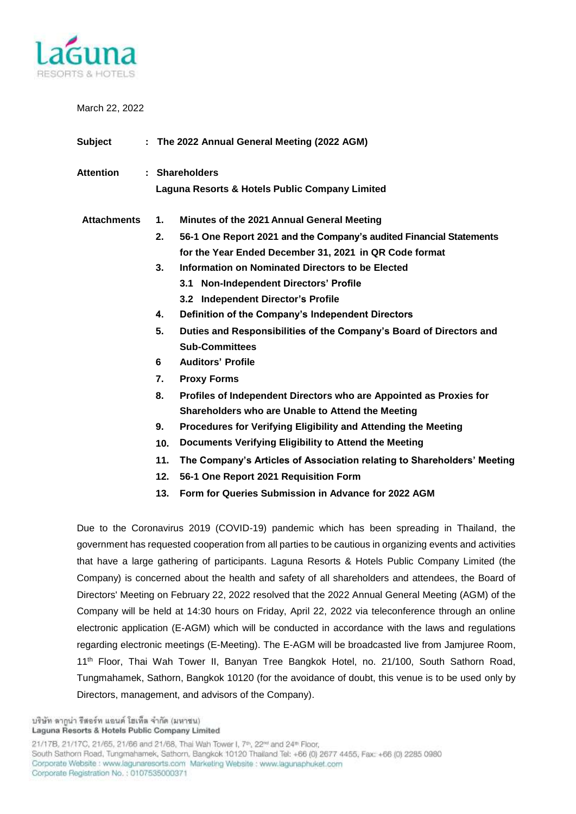

March 22, 2022

| Subject            | : The 2022 Annual General Meeting (2022 AGM)                                   |
|--------------------|--------------------------------------------------------------------------------|
| Attention          | : Shareholders                                                                 |
|                    | Laguna Resorts & Hotels Public Company Limited                                 |
| <b>Attachments</b> | Minutes of the 2021 Annual General Meeting<br>1.                               |
|                    | 2.<br>56-1 One Report 2021 and the Company's audited Financial Statements      |
|                    | for the Year Ended December 31, 2021 in QR Code format                         |
|                    | Information on Nominated Directors to be Elected<br>3.                         |
|                    | 3.1 Non-Independent Directors' Profile                                         |
|                    | 3.2 Independent Director's Profile                                             |
|                    | Definition of the Company's Independent Directors<br>4.                        |
|                    | 5.<br>Duties and Responsibilities of the Company's Board of Directors and      |
|                    | <b>Sub-Committees</b>                                                          |
|                    | <b>Auditors' Profile</b><br>6                                                  |
|                    | 7.<br><b>Proxy Forms</b>                                                       |
|                    | 8.<br>Profiles of Independent Directors who are Appointed as Proxies for       |
|                    | Shareholders who are Unable to Attend the Meeting                              |
|                    | 9.<br>Procedures for Verifying Eligibility and Attending the Meeting           |
|                    | Documents Verifying Eligibility to Attend the Meeting<br>10.                   |
|                    | 11.<br>The Company's Articles of Association relating to Shareholders' Meeting |
|                    |                                                                                |

- **12. 56-1 One Report 2021 Requisition Form**
- **13. Form for Queries Submission in Advance for 2022 AGM**

Due to the Coronavirus 2019 (COVID-19) pandemic which has been spreading in Thailand, the government has requested cooperation from all parties to be cautious in organizing events and activities that have a large gathering of participants. Laguna Resorts & Hotels Public Company Limited (the Company) is concerned about the health and safety of all shareholders and attendees, the Board of Directors' Meeting on February 22, 2022 resolved that the 2022 Annual General Meeting (AGM) of the Company will be held at 14:30 hours on Friday, April 22, 2022 via teleconference through an online electronic application (E-AGM) which will be conducted in accordance with the laws and regulations regarding electronic meetings (E-Meeting). The E-AGM will be broadcasted live from Jamjuree Room, 11th Floor, Thai Wah Tower II, Banyan Tree Bangkok Hotel, no. 21/100, South Sathorn Road, Tungmahamek, Sathorn, Bangkok 10120 (for the avoidance of doubt, this venue is to be used only by Directors, management, and advisors of the Company).

บริษัท ลากน่า รีสอร์ท แอนด์ โฮเท็ล จำกัด (มหาชน) Laguna Resorts & Hotels Public Company Limited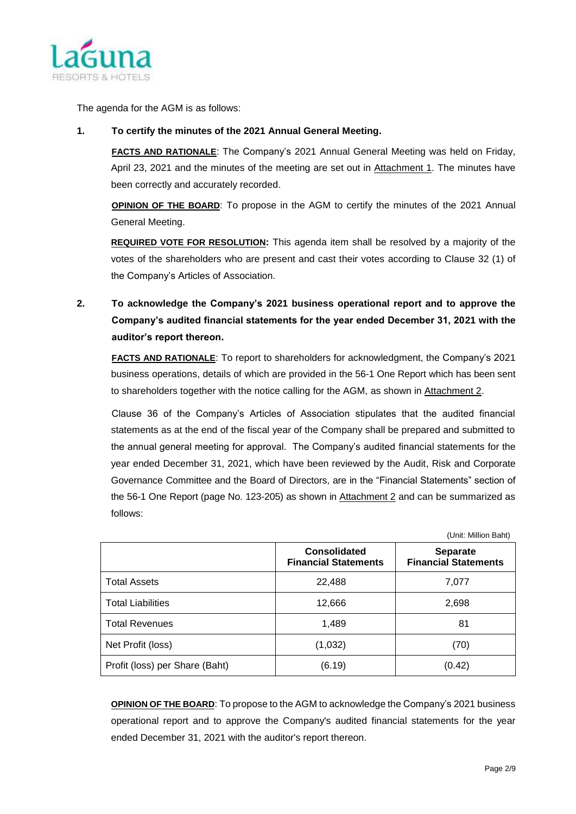

The agenda for the AGM is as follows:

### **1. To certify the minutes of the 2021 Annual General Meeting.**

**FACTS AND RATIONALE**: The Company's 2021 Annual General Meeting was held on Friday, April 23, 2021 and the minutes of the meeting are set out in Attachment 1. The minutes have been correctly and accurately recorded.

**OPINION OF THE BOARD:** To propose in the AGM to certify the minutes of the 2021 Annual General Meeting.

**REQUIRED VOTE FOR RESOLUTION:** This agenda item shall be resolved by a majority of the votes of the shareholders who are present and cast their votes according to Clause 32 (1) of the Company's Articles of Association.

**2. To acknowledge the Company's 2021 business operational report and to approve the Company's audited financial statements for the year ended December 31, 2021 with the auditor's report thereon.**

**FACTS AND RATIONALE**: To report to shareholders for acknowledgment, the Company's 2021 business operations, details of which are provided in the 56-1 One Report which has been sent to shareholders together with the notice calling for the AGM, as shown in Attachment 2.

Clause 36 of the Company's Articles of Association stipulates that the audited financial statements as at the end of the fiscal year of the Company shall be prepared and submitted to the annual general meeting for approval. The Company's audited financial statements for the year ended December 31, 2021, which have been reviewed by the Audit, Risk and Corporate Governance Committee and the Board of Directors, are in the "Financial Statements" section of the 56-1 One Report (page No. 123-205) as shown in Attachment 2 and can be summarized as follows:

|                                |                                                    | (Unit: Million Baht)                           |
|--------------------------------|----------------------------------------------------|------------------------------------------------|
|                                | <b>Consolidated</b><br><b>Financial Statements</b> | <b>Separate</b><br><b>Financial Statements</b> |
| <b>Total Assets</b>            | 22,488                                             | 7,077                                          |
| <b>Total Liabilities</b>       | 12,666                                             | 2,698                                          |
| <b>Total Revenues</b>          | 1,489                                              | 81                                             |
| Net Profit (loss)              | (1,032)                                            | (70)                                           |
| Profit (loss) per Share (Baht) | (6.19)                                             | (0.42)                                         |

**OPINION OF THE BOARD**: To propose to the AGM to acknowledge the Company's 2021 business operational report and to approve the Company's audited financial statements for the year ended December 31, 2021 with the auditor's report thereon.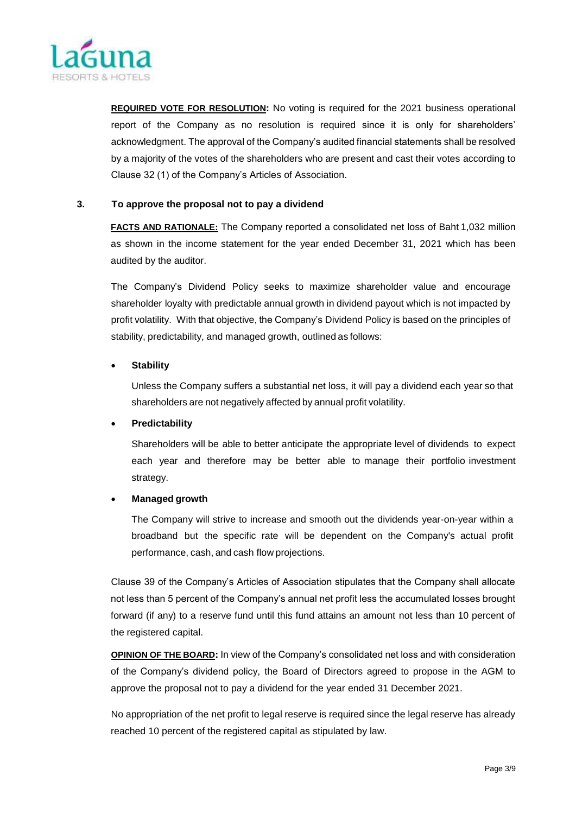

**REQUIRED VOTE FOR RESOLUTION:** No voting is required for the 2021 business operational report of the Company as no resolution is required since it is only for shareholders' acknowledgment. The approval of the Company's audited financial statements shall be resolved by a majority of the votes of the shareholders who are present and cast their votes according to Clause 32 (1) of the Company's Articles of Association.

### **3. To approve the proposal not to pay a dividend**

**FACTS AND RATIONALE:** The Company reported a consolidated net loss of Baht 1,032 million as shown in the income statement for the year ended December 31, 2021 which has been audited by the auditor.

The Company's Dividend Policy seeks to maximize shareholder value and encourage shareholder loyalty with predictable annual growth in dividend payout which is not impacted by profit volatility. With that objective, the Company's Dividend Policy is based on the principles of stability, predictability, and managed growth, outlined as follows:

#### **Stability**

Unless the Company suffers a substantial net loss, it will pay a dividend each year so that shareholders are not negatively affected by annual profit volatility.

### **Predictability**

Shareholders will be able to better anticipate the appropriate level of dividends to expect each year and therefore may be better able to manage their portfolio investment strategy.

### **Managed growth**

The Company will strive to increase and smooth out the dividends year-on-year within a broadband but the specific rate will be dependent on the Company's actual profit performance, cash, and cash flow projections.

Clause 39 of the Company's Articles of Association stipulates that the Company shall allocate not less than 5 percent of the Company's annual net profit less the accumulated losses brought forward (if any) to a reserve fund until this fund attains an amount not less than 10 percent of the registered capital.

**OPINION OF THE BOARD:** In view of the Company's consolidated net loss and with consideration of the Company's dividend policy, the Board of Directors agreed to propose in the AGM to approve the proposal not to pay a dividend for the year ended 31 December 2021.

No appropriation of the net profit to legal reserve is required since the legal reserve has already reached 10 percent of the registered capital as stipulated by law.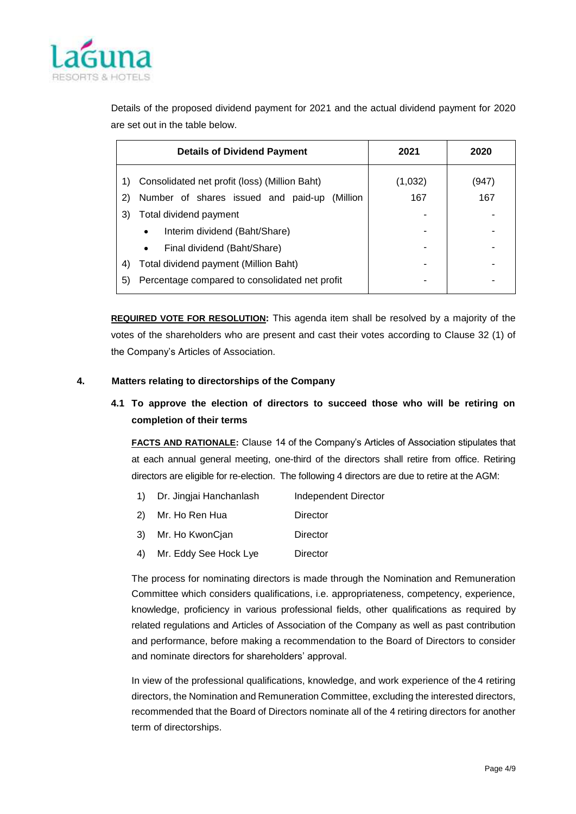

Details of the proposed dividend payment for 2021 and the actual dividend payment for 2020 are set out in the table below.

|    | <b>Details of Dividend Payment</b>                                                               | 2021           | 2020         |
|----|--------------------------------------------------------------------------------------------------|----------------|--------------|
| 2) | Consolidated net profit (loss) (Million Baht)<br>Number of shares issued and paid-up<br>(Million | (1,032)<br>167 | (947)<br>167 |
| 3) | Total dividend payment                                                                           |                |              |
|    | Interim dividend (Baht/Share)<br>$\bullet$                                                       |                |              |
|    | Final dividend (Baht/Share)<br>$\bullet$                                                         |                |              |
| 4) | Total dividend payment (Million Baht)                                                            |                |              |
| 5) | Percentage compared to consolidated net profit                                                   |                |              |

**REQUIRED VOTE FOR RESOLUTION:** This agenda item shall be resolved by a majority of the votes of the shareholders who are present and cast their votes according to Clause 32 (1) of the Company's Articles of Association.

### **4. Matters relating to directorships of the Company**

# **4.1 To approve the election of directors to succeed those who will be retiring on completion of their terms**

**FACTS AND RATIONALE:** Clause 14 of the Company's Articles of Association stipulates that at each annual general meeting, one-third of the directors shall retire from office. Retiring directors are eligible for re-election. The following 4 directors are due to retire at the AGM:

- 1) Dr. Jingjai Hanchanlash Independent Director
- 2) Mr. Ho Ren Hua **Director**
- 3) Mr. Ho KwonCjan Director
- 4) Mr. Eddy See Hock Lye Director

The process for nominating directors is made through the Nomination and Remuneration Committee which considers qualifications, i.e. appropriateness, competency, experience, knowledge, proficiency in various professional fields, other qualifications as required by related regulations and Articles of Association of the Company as well as past contribution and performance, before making a recommendation to the Board of Directors to consider and nominate directors for shareholders' approval.

In view of the professional qualifications, knowledge, and work experience of the 4 retiring directors, the Nomination and Remuneration Committee, excluding the interested directors, recommended that the Board of Directors nominate all of the 4 retiring directors for another term of directorships.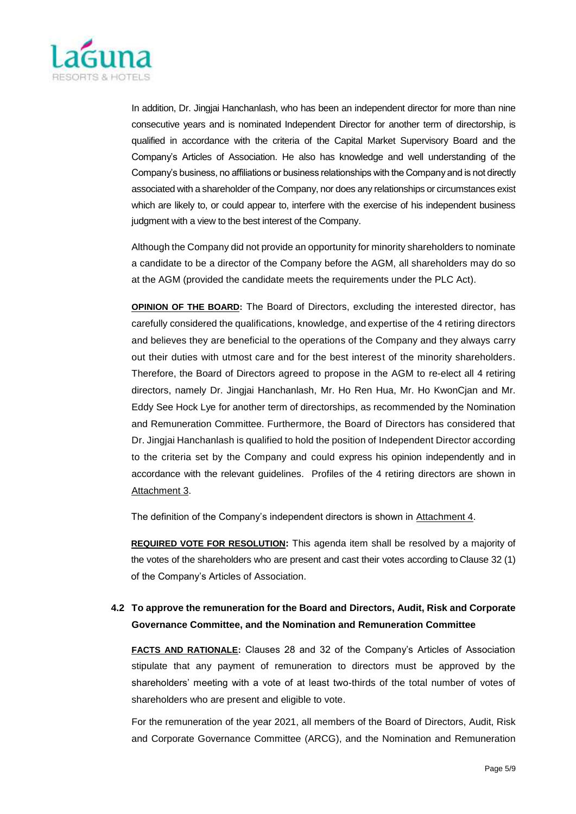

In addition, Dr. Jingjai Hanchanlash, who has been an independent director for more than nine consecutive years and is nominated Independent Director for another term of directorship, is qualified in accordance with the criteria of the Capital Market Supervisory Board and the Company's Articles of Association. He also has knowledge and well understanding of the Company's business, no affiliations or business relationships with the Company and is not directly associated with a shareholder of the Company, nor does any relationships or circumstances exist which are likely to, or could appear to, interfere with the exercise of his independent business judgment with a view to the best interest of the Company.

Although the Company did not provide an opportunity for minority shareholders to nominate a candidate to be a director of the Company before the AGM, all shareholders may do so at the AGM (provided the candidate meets the requirements under the PLC Act).

**OPINION OF THE BOARD:** The Board of Directors, excluding the interested director, has carefully considered the qualifications, knowledge, and expertise of the 4 retiring directors and believes they are beneficial to the operations of the Company and they always carry out their duties with utmost care and for the best interest of the minority shareholders. Therefore, the Board of Directors agreed to propose in the AGM to re-elect all 4 retiring directors, namely Dr. Jingjai Hanchanlash, Mr. Ho Ren Hua, Mr. Ho KwonCjan and Mr. Eddy See Hock Lye for another term of directorships, as recommended by the Nomination and Remuneration Committee. Furthermore, the Board of Directors has considered that Dr. Jingjai Hanchanlash is qualified to hold the position of Independent Director according to the criteria set by the Company and could express his opinion independently and in accordance with the relevant guidelines. Profiles of the 4 retiring directors are shown in Attachment 3.

The definition of the Company's independent directors is shown in Attachment 4.

**REQUIRED VOTE FOR RESOLUTION:** This agenda item shall be resolved by a majority of the votes of the shareholders who are present and cast their votes according to Clause 32 (1) of the Company's Articles of Association.

# **4.2 To approve the remuneration for the Board and Directors, Audit, Risk and Corporate Governance Committee, and the Nomination and Remuneration Committee**

**FACTS AND RATIONALE:** Clauses 28 and 32 of the Company's Articles of Association stipulate that any payment of remuneration to directors must be approved by the shareholders' meeting with a vote of at least two-thirds of the total number of votes of shareholders who are present and eligible to vote.

For the remuneration of the year 2021, all members of the Board of Directors, Audit, Risk and Corporate Governance Committee (ARCG), and the Nomination and Remuneration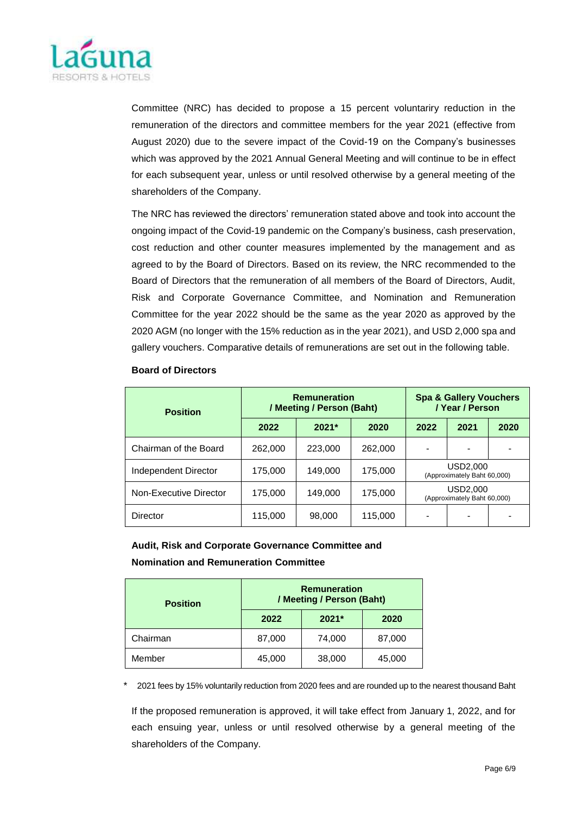

Committee (NRC) has decided to propose a 15 percent voluntariry reduction in the remuneration of the directors and committee members for the year 2021 (effective from August 2020) due to the severe impact of the Covid-19 on the Company's businesses which was approved by the 2021 Annual General Meeting and will continue to be in effect for each subsequent year, unless or until resolved otherwise by a general meeting of the shareholders of the Company.

The NRC has reviewed the directors' remuneration stated above and took into account the ongoing impact of the Covid-19 pandemic on the Company's business, cash preservation, cost reduction and other counter measures implemented by the management and as agreed to by the Board of Directors. Based on its review, the NRC recommended to the Board of Directors that the remuneration of all members of the Board of Directors, Audit, Risk and Corporate Governance Committee, and Nomination and Remuneration Committee for the year 2022 should be the same as the year 2020 as approved by the 2020 AGM (no longer with the 15% reduction as in the year 2021), and USD 2,000 spa and gallery vouchers. Comparative details of remunerations are set out in the following table.

| <b>Position</b>        | <b>Remuneration</b><br>/ Meeting / Person (Baht) |         |         | <b>Spa &amp; Gallery Vouchers</b><br>/ Year / Person |      |      |
|------------------------|--------------------------------------------------|---------|---------|------------------------------------------------------|------|------|
|                        | 2022                                             | $2021*$ | 2020    | 2022                                                 | 2021 | 2020 |
| Chairman of the Board  | 262,000                                          | 223,000 | 262,000 |                                                      |      |      |
| Independent Director   | 175,000                                          | 149,000 | 175,000 | USD2,000<br>(Approximately Baht 60,000)              |      |      |
| Non-Executive Director | 175,000                                          | 149,000 | 175,000 | USD2,000<br>(Approximately Baht 60,000)              |      |      |
| Director               | 115,000                                          | 98,000  | 115,000 |                                                      |      |      |

### **Board of Directors**

**Audit, Risk and Corporate Governance Committee and Nomination and Remuneration Committee**

| <b>Position</b> | <b>Remuneration</b><br>/ Meeting / Person (Baht) |         |        |  |  |
|-----------------|--------------------------------------------------|---------|--------|--|--|
|                 | 2022                                             | $2021*$ | 2020   |  |  |
| Chairman        | 87,000                                           | 74,000  | 87,000 |  |  |
| Member          | 45,000                                           | 38,000  | 45,000 |  |  |

\* 2021 fees by 15% voluntarily reduction from 2020 fees and are rounded up to the nearest thousand Baht

If the proposed remuneration is approved, it will take effect from January 1, 2022, and for each ensuing year, unless or until resolved otherwise by a general meeting of the shareholders of the Company.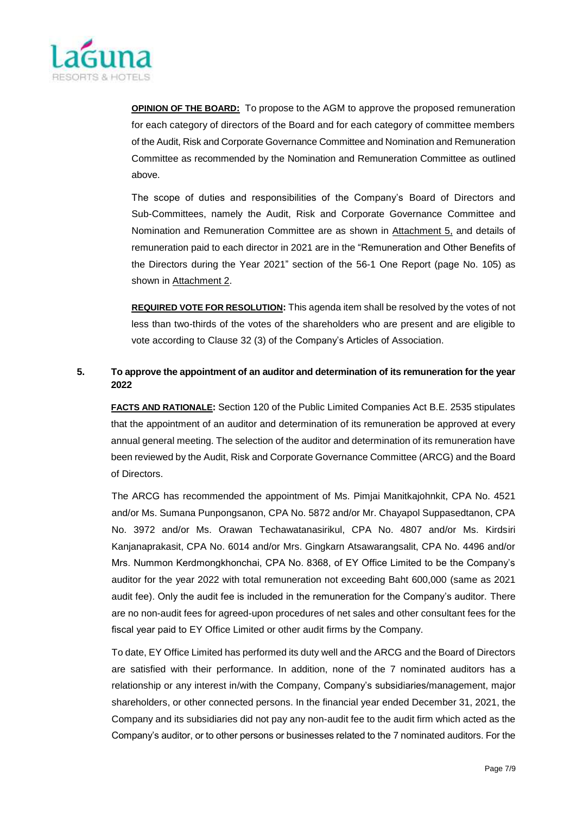

**OPINION OF THE BOARD:** To propose to the AGM to approve the proposed remuneration for each category of directors of the Board and for each category of committee members of the Audit, Risk and Corporate Governance Committee and Nomination and Remuneration Committee as recommended by the Nomination and Remuneration Committee as outlined above.

The scope of duties and responsibilities of the Company's Board of Directors and Sub-Committees, namely the Audit, Risk and Corporate Governance Committee and Nomination and Remuneration Committee are as shown in Attachment 5, and details of remuneration paid to each director in 2021 are in the "Remuneration and Other Benefits of the Directors during the Year 2021" section of the 56-1 One Report (page No. 105) as shown in Attachment 2.

**REQUIRED VOTE FOR RESOLUTION:** This agenda item shall be resolved by the votes of not less than two-thirds of the votes of the shareholders who are present and are eligible to vote according to Clause 32 (3) of the Company's Articles of Association.

### **5. To approve the appointment of an auditor and determination of its remuneration for the year 2022**

**FACTS AND RATIONALE:** Section 120 of the Public Limited Companies Act B.E. 2535 stipulates that the appointment of an auditor and determination of its remuneration be approved at every annual general meeting. The selection of the auditor and determination of its remuneration have been reviewed by the Audit, Risk and Corporate Governance Committee (ARCG) and the Board of Directors.

The ARCG has recommended the appointment of Ms. Pimjai Manitkajohnkit, CPA No. 4521 and/or Ms. Sumana Punpongsanon, CPA No. 5872 and/or Mr. Chayapol Suppasedtanon, CPA No. 3972 and/or Ms. Orawan Techawatanasirikul, CPA No. 4807 and/or Ms. Kirdsiri Kanjanaprakasit, CPA No. 6014 and/or Mrs. Gingkarn Atsawarangsalit, CPA No. 4496 and/or Mrs. Nummon Kerdmongkhonchai, CPA No. 8368, of EY Office Limited to be the Company's auditor for the year 2022 with total remuneration not exceeding Baht 600,000 (same as 2021 audit fee). Only the audit fee is included in the remuneration for the Company's auditor. There are no non-audit fees for agreed-upon procedures of net sales and other consultant fees for the fiscal year paid to EY Office Limited or other audit firms by the Company.

To date, EY Office Limited has performed its duty well and the ARCG and the Board of Directors are satisfied with their performance. In addition, none of the 7 nominated auditors has a relationship or any interest in/with the Company, Company's subsidiaries/management, major shareholders, or other connected persons. In the financial year ended December 31, 2021, the Company and its subsidiaries did not pay any non-audit fee to the audit firm which acted as the Company's auditor, or to other persons or businesses related to the 7 nominated auditors. For the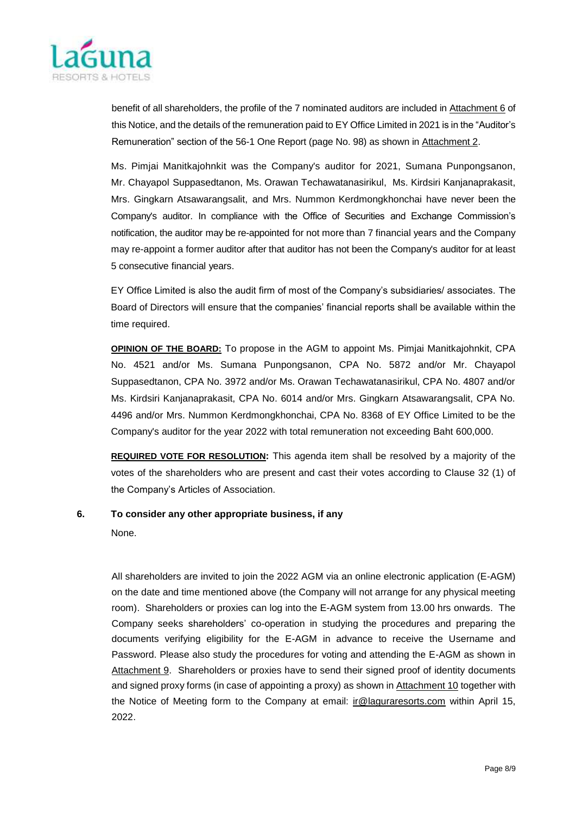

benefit of all shareholders, the profile of the 7 nominated auditors are included in Attachment 6 of this Notice, and the details of the remuneration paid to EY Office Limited in 2021 is in the "Auditor's Remuneration" section of the 56-1 One Report (page No. 98) as shown in Attachment 2.

Ms. Pimjai Manitkajohnkit was the Company's auditor for 2021, Sumana Punpongsanon, Mr. Chayapol Suppasedtanon, Ms. Orawan Techawatanasirikul, Ms. Kirdsiri Kanjanaprakasit, Mrs. Gingkarn Atsawarangsalit, and Mrs. Nummon Kerdmongkhonchai have never been the Company's auditor. In compliance with the Office of Securities and Exchange Commission's notification, the auditor may be re-appointed for not more than 7 financial years and the Company may re-appoint a former auditor after that auditor has not been the Company's auditor for at least 5 consecutive financial years.

EY Office Limited is also the audit firm of most of the Company's subsidiaries/ associates. The Board of Directors will ensure that the companies' financial reports shall be available within the time required.

**OPINION OF THE BOARD:** To propose in the AGM to appoint Ms. Pimjai Manitkajohnkit, CPA No. 4521 and/or Ms. Sumana Punpongsanon, CPA No. 5872 and/or Mr. Chayapol Suppasedtanon, CPA No. 3972 and/or Ms. Orawan Techawatanasirikul, CPA No. 4807 and/or Ms. Kirdsiri Kanjanaprakasit, CPA No. 6014 and/or Mrs. Gingkarn Atsawarangsalit, CPA No. 4496 and/or Mrs. Nummon Kerdmongkhonchai, CPA No. 8368 of EY Office Limited to be the Company's auditor for the year 2022 with total remuneration not exceeding Baht 600,000.

**REQUIRED VOTE FOR RESOLUTION:** This agenda item shall be resolved by a majority of the votes of the shareholders who are present and cast their votes according to Clause 32 (1) of the Company's Articles of Association.

### **6. To consider any other appropriate business, if any**

None.

All shareholders are invited to join the 2022 AGM via an online electronic application (E-AGM) on the date and time mentioned above (the Company will not arrange for any physical meeting room). Shareholders or proxies can log into the E-AGM system from 13.00 hrs onwards. The Company seeks shareholders' co-operation in studying the procedures and preparing the documents verifying eligibility for the E-AGM in advance to receive the Username and Password. Please also study the procedures for voting and attending the E-AGM as shown in Attachment 9. Shareholders or proxies have to send their signed proof of identity documents and signed proxy forms (in case of appointing a proxy) as shown in Attachment 10 together with the Notice of Meeting form to the Company at email: [ir@laguraresorts.com](mailto:ir@laguraresorts.com) within April 15, 2022.